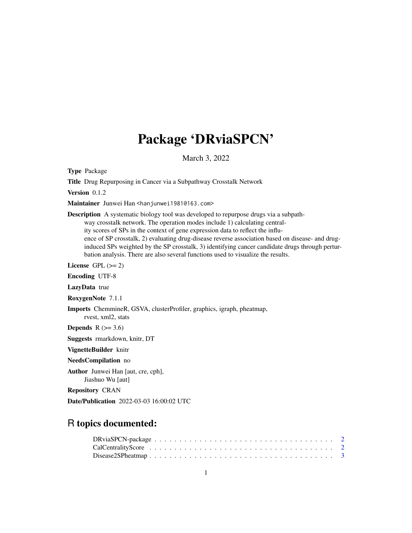# Package 'DRviaSPCN'

March 3, 2022

Type Package

Title Drug Repurposing in Cancer via a Subpathway Crosstalk Network

Version 0.1.2

Maintainer Junwei Han <hanjunwei1981@163.com>

Description A systematic biology tool was developed to repurpose drugs via a subpathway crosstalk network. The operation modes include 1) calculating centrality scores of SPs in the context of gene expression data to reflect the influence of SP crosstalk, 2) evaluating drug-disease reverse association based on disease- and druginduced SPs weighted by the SP crosstalk, 3) identifying cancer candidate drugs through perturbation analysis. There are also several functions used to visualize the results.

License GPL  $(>= 2)$ 

Encoding UTF-8

LazyData true

RoxygenNote 7.1.1

Imports ChemmineR, GSVA, clusterProfiler, graphics, igraph, pheatmap, rvest, xml2, stats

Depends  $R$  ( $>= 3.6$ )

Suggests rmarkdown, knitr, DT

VignetteBuilder knitr

NeedsCompilation no

Author Junwei Han [aut, cre, cph], Jiashuo Wu [aut]

Repository CRAN

Date/Publication 2022-03-03 16:00:02 UTC

# R topics documented: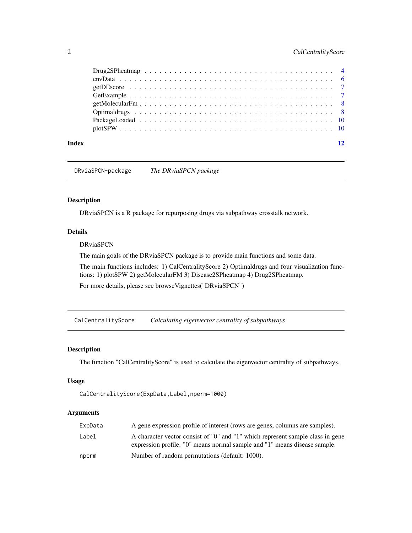# <span id="page-1-0"></span>2 CalCentralityScore

| Index | 12 |  |
|-------|----|--|

DRviaSPCN-package *The DRviaSPCN package*

# Description

DRviaSPCN is a R package for repurposing drugs via subpathway crosstalk network.

# Details

# DRviaSPCN

The main goals of the DRviaSPCN package is to provide main functions and some data.

The main functions includes: 1) CalCentralityScore 2) Optimaldrugs and four visualization functions: 1) plotSPW 2) getMolecularFM 3) Disease2SPheatmap 4) Drug2SPheatmap.

For more details, please see browseVignettes("DRviaSPCN")

CalCentralityScore *Calculating eigenvector centrality of subpathways*

#### Description

The function "CalCentralityScore" is used to calculate the eigenvector centrality of subpathways.

# Usage

```
CalCentralityScore(ExpData,Label,nperm=1000)
```
# Arguments

| ExpData | A gene expression profile of interest (rows are genes, columns are samples).                                                                                |
|---------|-------------------------------------------------------------------------------------------------------------------------------------------------------------|
| Label   | A character vector consist of "0" and "1" which represent sample class in gene<br>expression profile. "0" means normal sample and "1" means disease sample. |
| nperm   | Number of random permutations (default: 1000).                                                                                                              |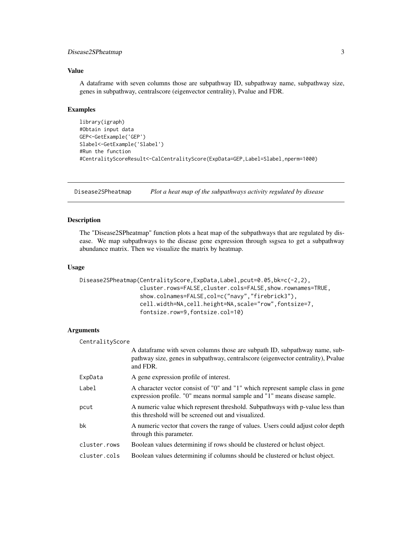# <span id="page-2-0"></span>Disease2SPheatmap 3

# Value

A dataframe with seven columns those are subpathway ID, subpathway name, subpathway size, genes in subpathway, centralscore (eigenvector centrality), Pvalue and FDR.

#### Examples

```
library(igraph)
#Obtain input data
GEP<-GetExample('GEP')
Slabel<-GetExample('Slabel')
#Run the function
#CentralityScoreResult<-CalCentralityScore(ExpData=GEP,Label=Slabel,nperm=1000)
```
Disease2SPheatmap *Plot a heat map of the subpathways activity regulated by disease*

## Description

The "Disease2SPheatmap" function plots a heat map of the subpathways that are regulated by disease. We map subpathways to the disease gene expression through ssgsea to get a subpathway abundance matrix. Then we visualize the matrix by heatmap.

#### Usage

```
Disease2SPheatmap(CentralityScore,ExpData,Label,pcut=0.05,bk=c(-2,2),
                  cluster.rows=FALSE,cluster.cols=FALSE,show.rownames=TRUE,
                  show.colnames=FALSE,col=c("navy","firebrick3"),
                  cell.width=NA,cell.height=NA,scale="row",fontsize=7,
                  fontsize.row=9,fontsize.col=10)
```
#### Arguments

| CentralityScore |                                                                                                                                                                             |
|-----------------|-----------------------------------------------------------------------------------------------------------------------------------------------------------------------------|
|                 | A data frame with seven columns those are subpath ID, subpathway name, sub-<br>pathway size, genes in subpathway, centralscore (eigenvector centrality), Pvalue<br>and FDR. |
| ExpData         | A gene expression profile of interest.                                                                                                                                      |
| Label           | A character vector consist of "0" and "1" which represent sample class in gene<br>expression profile. "0" means normal sample and "1" means disease sample.                 |
| pcut            | A numeric value which represent threshold. Subpathways with p-value less than<br>this threshold will be screened out and visualized.                                        |
| bk              | A numeric vector that covers the range of values. Users could adjust color depth<br>through this parameter.                                                                 |
| cluster.rows    | Boolean values determining if rows should be clustered or holust object.                                                                                                    |
| cluster.cols    | Boolean values determining if columns should be clustered or holust object.                                                                                                 |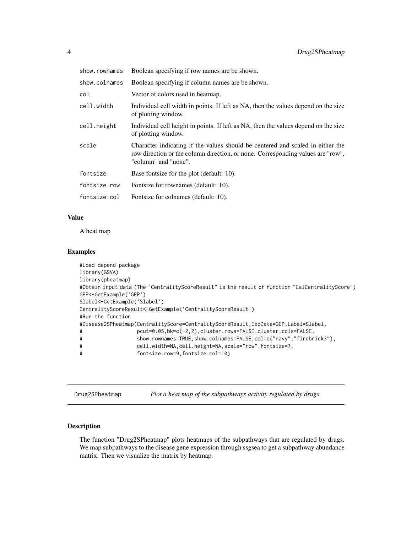<span id="page-3-0"></span>

| show.rownames | Boolean specifying if row names are be shown.                                                                                                                                             |
|---------------|-------------------------------------------------------------------------------------------------------------------------------------------------------------------------------------------|
| show.colnames | Boolean specifying if column names are be shown.                                                                                                                                          |
| col           | Vector of colors used in heatmap.                                                                                                                                                         |
| cell.width    | Individual cell width in points. If left as NA, then the values depend on the size<br>of plotting window.                                                                                 |
| cell.height   | Individual cell height in points. If left as NA, then the values depend on the size<br>of plotting window.                                                                                |
| scale         | Character indicating if the values should be centered and scaled in either the<br>row direction or the column direction, or none. Corresponding values are "row",<br>"column" and "none". |
| fontsize      | Base fontsize for the plot (default: 10).                                                                                                                                                 |
| fontsize.row  | Fontsize for rownames (default: 10).                                                                                                                                                      |
| fontsize.col  | Fontsize for colnames (default: 10).                                                                                                                                                      |

# Value

A heat map

# Examples

```
#Load depend package
library(GSVA)
library(pheatmap)
#Obtain input data (The "CentralityScoreResult" is the result of function "CalCentralityScore")
GEP<-GetExample('GEP')
Slabel<-GetExample('Slabel')
CentralityScoreResult<-GetExample('CentralityScoreResult')
#Run the function
#Disease2SPheatmap(CentralityScore=CentralityScoreResult,ExpData=GEP,Label=Slabel,
# pcut=0.05,bk=c(-2,2),cluster.rows=FALSE,cluster.cols=FALSE,
# show.rownames=TRUE,show.colnames=FALSE,col=c("navy","firebrick3"),
# cell.width=NA,cell.height=NA,scale="row",fontsize=7,
# fontsize.row=9,fontsize.col=10)
```
Drug2SPheatmap *Plot a heat map of the subpathways activity regulated by drugs*

# Description

The function "Drug2SPheatmap" plots heatmaps of the subpathways that are regulated by drugs. We map subpathways to the disease gene expression through ssgsea to get a subpathway abundance matrix. Then we visualize the matrix by heatmap.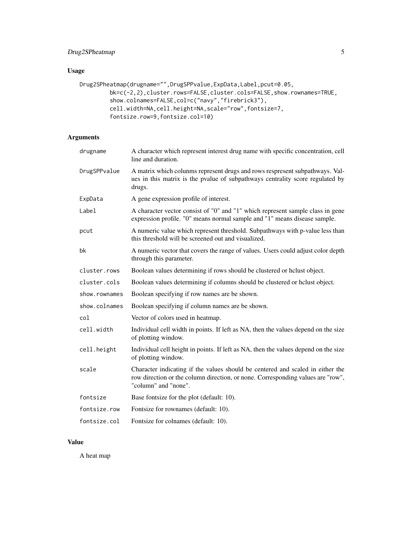# Drug2SPheatmap 5

# Usage

```
Drug2SPheatmap(drugname="",DrugSPPvalue,ExpData,Label,pcut=0.05,
         bk=c(-2,2),cluster.rows=FALSE,cluster.cols=FALSE,show.rownames=TRUE,
         show.colnames=FALSE,col=c("navy","firebrick3"),
         cell.width=NA,cell.height=NA,scale="row",fontsize=7,
         fontsize.row=9,fontsize.col=10)
```
# Arguments

| drugname      | A character which represent interest drug name with specific concentration, cell<br>line and duration.                                                                                    |
|---------------|-------------------------------------------------------------------------------------------------------------------------------------------------------------------------------------------|
| DrugSPPvalue  | A matrix which colunms represent drugs and rows respresent subpathways. Val-<br>ues in this matrix is the pvalue of subpathways centrality score regulated by<br>drugs.                   |
| ExpData       | A gene expression profile of interest.                                                                                                                                                    |
| Label         | A character vector consist of "0" and "1" which represent sample class in gene<br>expression profile. "0" means normal sample and "1" means disease sample.                               |
| pcut          | A numeric value which represent threshold. Subpathways with p-value less than<br>this threshold will be screened out and visualized.                                                      |
| bk            | A numeric vector that covers the range of values. Users could adjust color depth<br>through this parameter.                                                                               |
| cluster.rows  | Boolean values determining if rows should be clustered or holust object.                                                                                                                  |
| cluster.cols  | Boolean values determining if columns should be clustered or hclust object.                                                                                                               |
| show.rownames | Boolean specifying if row names are be shown.                                                                                                                                             |
| show.colnames | Boolean specifying if column names are be shown.                                                                                                                                          |
| col           | Vector of colors used in heatmap.                                                                                                                                                         |
| cell.width    | Individual cell width in points. If left as NA, then the values depend on the size<br>of plotting window.                                                                                 |
| cell.height   | Individual cell height in points. If left as NA, then the values depend on the size<br>of plotting window.                                                                                |
| scale         | Character indicating if the values should be centered and scaled in either the<br>row direction or the column direction, or none. Corresponding values are "row",<br>"column" and "none". |
| fontsize      | Base fontsize for the plot (default: 10).                                                                                                                                                 |
| fontsize.row  | Fontsize for rownames (default: 10).                                                                                                                                                      |
| fontsize.col  | Fontsize for colnames (default: 10).                                                                                                                                                      |

# Value

A heat map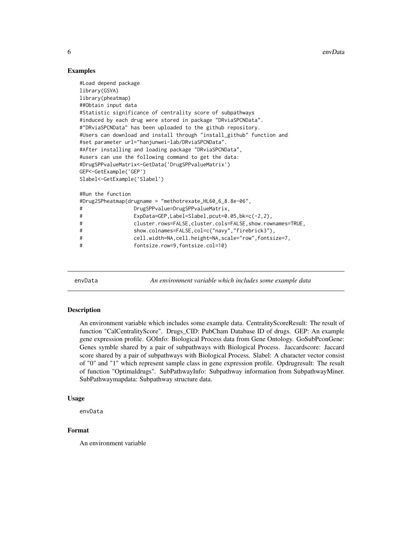6 envData by the contract of the contract of the contract of the contract of the contract of the contract of the contract of the contract of the contract of the contract of the contract of the contract of the contract of t

# Examples

```
#Load depend package
library(GSVA)
library(pheatmap)
##Obtain input data
#Statistic significance of centrality score of subpathways
#induced by each drug were stored in package "DRviaSPCNData".
#"DRviaSPCNData" has been uploaded to the github repository.
#Users can download and install through "install_github" function and
#set parameter url="hanjunwei-lab/DRviaSPCNData".
#After installing and loading package "DRviaSPCNData",
#users can use the following command to get the data:
#DrugSPPvalueMatrix<-GetData('DrugSPPvalueMatrix')
GEP<-GetExample('GEP')
Slabel<-GetExample('Slabel')
#Run the function
#Drug2SPheatmap(drugname = "methotrexate_HL60_6_8.8e-06",
# DrugSPPvalue=DrugSPPvalueMatrix,
# ExpData=GEP,Label=Slabel,pcut=0.05,bk=c(-2,2),
# cluster.rows=FALSE,cluster.cols=FALSE,show.rownames=TRUE,
# show.colnames=FALSE,col=c("navy","firebrick3"),
# cell.width=NA,cell.height=NA,scale="row",fontsize=7,
# fontsize.row=9,fontsize.col=10)
```
envData *An environment variable which includes some example data*

# **Description**

An environment variable which includes some example data. CentralityScoreResult: The result of function "CalCentralityScore". Drugs\_CID: PubCham Database ID of drugs. GEP: An example gene expression profile. GOInfo: Biological Process data from Gene Ontology. GoSubPconGene: Genes symble shared by a pair of subpathways with Biological Process. Jaccardscore: Jaccard score shared by a pair of subpathways with Biological Process. Slabel: A character vector consist of "0" and "1" which represent sample class in gene expression profile. Opdrugresult: The result of function "Optimaldrugs". SubPathwayInfo: Subpathway information from SubpathwayMiner. SubPathwaymapdata: Subpathway structure data.

# Usage

envData

# Format

An environment variable

<span id="page-5-0"></span>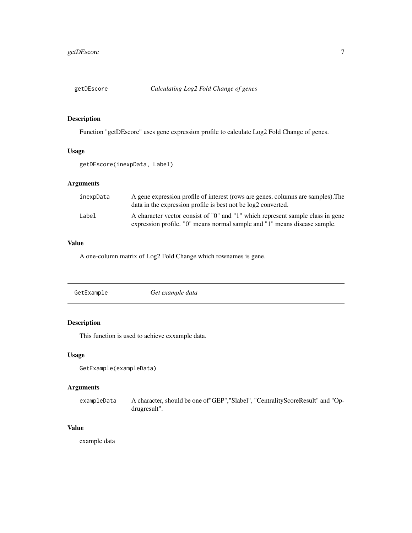<span id="page-6-0"></span>

# Description

Function "getDEscore" uses gene expression profile to calculate Log2 Fold Change of genes.

# Usage

```
getDEscore(inexpData, Label)
```
# Arguments

| inexpData | A gene expression profile of interest (rows are genes, columns are samples). The<br>data in the expression profile is best not be log2 converted.           |
|-----------|-------------------------------------------------------------------------------------------------------------------------------------------------------------|
| Label     | A character vector consist of "0" and "1" which represent sample class in gene<br>expression profile. "O" means normal sample and "1" means disease sample. |

# Value

A one-column matrix of Log2 Fold Change which rownames is gene.

# Description

This function is used to achieve exxample data.

# Usage

```
GetExample(exampleData)
```
# Arguments

exampleData A character, should be one of"GEP","Slabel", "CentralityScoreResult" and "Opdrugresult".

# Value

example data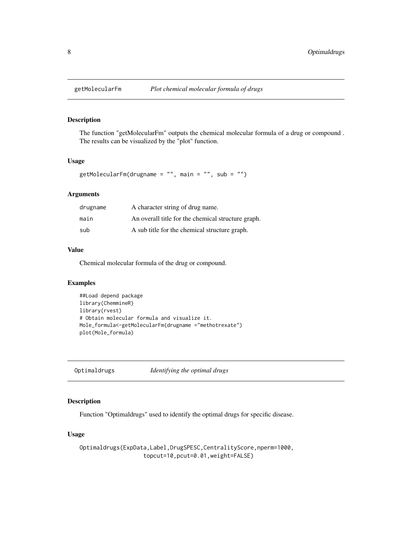<span id="page-7-0"></span>

# Description

The function "getMolecularFm" outputs the chemical molecular formula of a drug or compound . The results can be visualized by the "plot" function.

#### Usage

```
getMolecularFm(drugname = ", main = ", sub = ")
```
# Arguments

| drugname | A character string of drug name.                   |
|----------|----------------------------------------------------|
| main     | An overall title for the chemical structure graph. |
| sub      | A sub title for the chemical structure graph.      |

#### Value

Chemical molecular formula of the drug or compound.

# Examples

```
##Load depend package
library(ChemmineR)
library(rvest)
# Obtain molecular formula and visualize it.
Mole_formula<-getMolecularFm(drugname ="methotrexate")
plot(Mole_formula)
```
Optimaldrugs *Identifying the optimal drugs*

# Description

Function "Optimaldrugs" used to identify the optimal drugs for specific disease.

# Usage

```
Optimaldrugs(ExpData,Label,DrugSPESC,CentralityScore,nperm=1000,
                  topcut=10,pcut=0.01,weight=FALSE)
```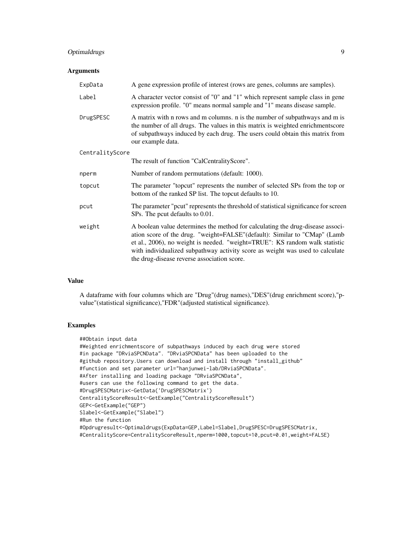# Optimaldrugs 9

#### **Arguments**

| ExpData         | A gene expression profile of interest (rows are genes, columns are samples).                                                                                                                                                                                                                                                                                                |
|-----------------|-----------------------------------------------------------------------------------------------------------------------------------------------------------------------------------------------------------------------------------------------------------------------------------------------------------------------------------------------------------------------------|
| Label           | A character vector consist of "0" and "1" which represent sample class in gene<br>expression profile. "0" means normal sample and "1" means disease sample.                                                                                                                                                                                                                 |
| DrugSPESC       | A matrix with n rows and m columns. n is the number of subpathways and m is<br>the number of all drugs. The values in this matrix is weighted enrichmentscore<br>of subpathways induced by each drug. The users could obtain this matrix from<br>our example data.                                                                                                          |
| CentralityScore |                                                                                                                                                                                                                                                                                                                                                                             |
|                 | The result of function "CalCentralityScore".                                                                                                                                                                                                                                                                                                                                |
| nperm           | Number of random permutations (default: 1000).                                                                                                                                                                                                                                                                                                                              |
| topcut          | The parameter "topcut" represents the number of selected SPs from the top or<br>bottom of the ranked SP list. The topcut defaults to 10.                                                                                                                                                                                                                                    |
| pcut            | The parameter "pcut" represents the threshold of statistical significance for screen<br>SPs. The pout defaults to 0.01.                                                                                                                                                                                                                                                     |
| weight          | A boolean value determines the method for calculating the drug-disease associ-<br>ation score of the drug. "weight=FALSE" (default): Similar to "CMap" (Lamb<br>et al., 2006), no weight is needed. "weight=TRUE": KS random walk statistic<br>with individualized subpathway activity score as weight was used to calculate<br>the drug-disease reverse association score. |

# Value

A dataframe with four columns which are "Drug"(drug names),"DES"(drug enrichment score),"pvalue"(statistical significance),"FDR"(adjusted statistical significance).

# Examples

```
##Obtain input data
#Weighted enrichmentscore of subpathways induced by each drug were stored
#in package "DRviaSPCNData". "DRviaSPCNData" has been uploaded to the
#github repository.Users can download and install through "install_github"
#function and set parameter url="hanjunwei-lab/DRviaSPCNData".
#After installing and loading package "DRviaSPCNData",
#users can use the following command to get the data.
#DrugSPESCMatrix<-GetData('DrugSPESCMatrix')
CentralityScoreResult<-GetExample("CentralityScoreResult")
GEP<-GetExample("GEP")
Slabel<-GetExample("Slabel")
#Run the function
#Opdrugresult<-Optimaldrugs(ExpData=GEP,Label=Slabel,DrugSPESC=DrugSPESCMatrix,
#CentralityScore=CentralityScoreResult,nperm=1000,topcut=10,pcut=0.01,weight=FALSE)
```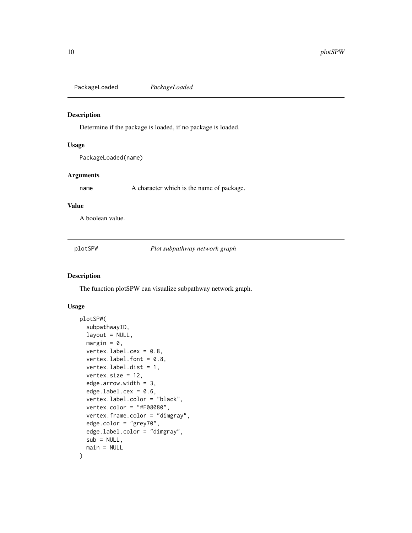<span id="page-9-0"></span>PackageLoaded *PackageLoaded*

# Description

Determine if the package is loaded, if no package is loaded.

#### Usage

PackageLoaded(name)

#### Arguments

name A character which is the name of package.

# Value

A boolean value.

plotSPW *Plot subpathway network graph*

# Description

The function plotSPW can visualize subpathway network graph.

# Usage

```
plotSPW(
  subpathwayID,
  layout = NULL,
 margin = 0,
 vertex.label.cex = 0.8,
  vertex.label.font = 0.8,
  vertex.label.dist = 1,
  vertex.size = 12,
  edge.arrow.width = 3,
  edge.label.cex = 0.6,
  vertex.label.color = "black",
  vertex.color = "#F08080",
  vertex.frame.color = "dimgray",
  edge.color = "grey70",
  edge.label.color = "dimgray",
  sub = NULL,main = NULL
)
```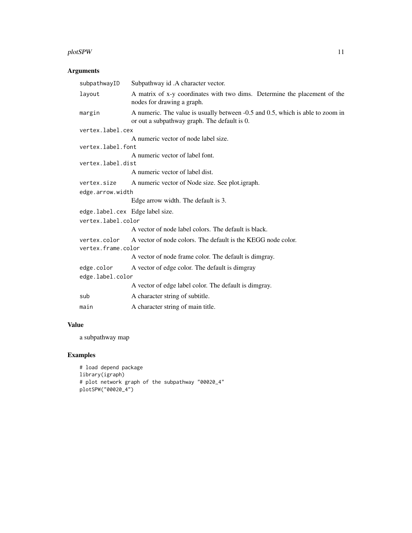### plotSPW 11

# Arguments

| Subpathway id .A character vector.                                                                                             |
|--------------------------------------------------------------------------------------------------------------------------------|
| A matrix of x-y coordinates with two dims. Determine the placement of the<br>nodes for drawing a graph.                        |
| A numeric. The value is usually between -0.5 and 0.5, which is able to zoom in<br>or out a subpathway graph. The default is 0. |
| vertex.label.cex                                                                                                               |
| A numeric vector of node label size.                                                                                           |
| vertex.label.font                                                                                                              |
| A numeric vector of label font.                                                                                                |
| vertex.label.dist                                                                                                              |
| A numeric vector of label dist.                                                                                                |
| A numeric vector of Node size. See plot.igraph.                                                                                |
| edge.arrow.width                                                                                                               |
| Edge arrow width. The default is 3.                                                                                            |
| edge.label.cex Edge label size.                                                                                                |
| vertex.label.color                                                                                                             |
| A vector of node label colors. The default is black.                                                                           |
| A vector of node colors. The default is the KEGG node color.<br>vertex.frame.color                                             |
| A vector of node frame color. The default is dimgray.                                                                          |
| A vector of edge color. The default is dimgray                                                                                 |
| edge.label.color                                                                                                               |
| A vector of edge label color. The default is dimgray.                                                                          |
| A character string of subtitle.                                                                                                |
| A character string of main title.                                                                                              |
|                                                                                                                                |

# Value

a subpathway map

# Examples

```
# load depend package
library(igraph)
# plot network graph of the subpathway "00020_4"
plotSPW("00020_4")
```